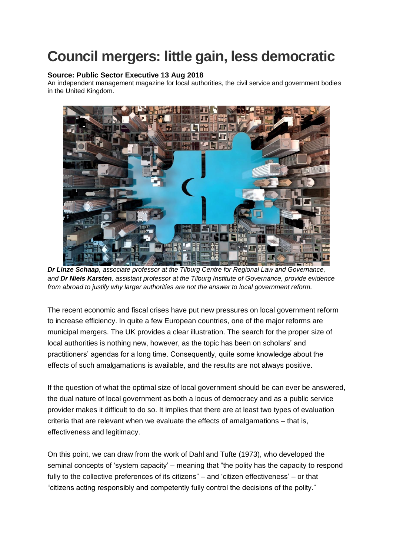## **Council mergers: little gain, less democratic**

## **Source: Public Sector Executive 13 Aug 2018**

An independent management magazine for local authorities, the civil service and government bodies in the United Kingdom.



*Dr Linze Schaap, associate professor at the Tilburg Centre for Regional Law and Governance, and Dr Niels Karsten, assistant professor at the Tilburg Institute of Governance, provide evidence from abroad to justify why larger authorities are not the answer to local government reform.*

The recent economic and fiscal crises have put new pressures on local government reform to increase efficiency. In quite a few European countries, one of the major reforms are municipal mergers. The UK provides a clear illustration. The search for the proper size of local authorities is nothing new, however, as the topic has been on scholars' and practitioners' agendas for a long time. Consequently, quite some knowledge about the effects of such amalgamations is available, and the results are not always positive.

If the question of what the optimal size of local government should be can ever be answered, the dual nature of local government as both a locus of democracy and as a public service provider makes it difficult to do so. It implies that there are at least two types of evaluation criteria that are relevant when we evaluate the effects of amalgamations – that is, effectiveness and legitimacy.

On this point, we can draw from the work of Dahl and Tufte (1973), who developed the seminal concepts of 'system capacity' – meaning that "the polity has the capacity to respond fully to the collective preferences of its citizens" – and 'citizen effectiveness' – or that "citizens acting responsibly and competently fully control the decisions of the polity."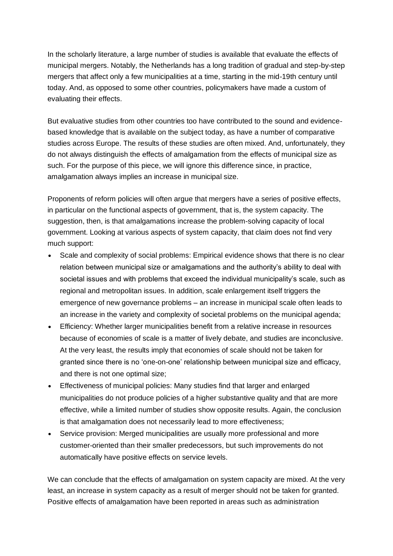In the scholarly literature, a large number of studies is available that evaluate the effects of municipal mergers. Notably, the Netherlands has a long tradition of gradual and step-by-step mergers that affect only a few municipalities at a time, starting in the mid-19th century until today. And, as opposed to some other countries, policymakers have made a custom of evaluating their effects.

But evaluative studies from other countries too have contributed to the sound and evidencebased knowledge that is available on the subject today, as have a number of comparative studies across Europe. The results of these studies are often mixed. And, unfortunately, they do not always distinguish the effects of amalgamation from the effects of municipal size as such. For the purpose of this piece, we will ignore this difference since, in practice, amalgamation always implies an increase in municipal size.

Proponents of reform policies will often argue that mergers have a series of positive effects, in particular on the functional aspects of government, that is, the system capacity. The suggestion, then, is that amalgamations increase the problem-solving capacity of local government. Looking at various aspects of system capacity, that claim does not find very much support:

- Scale and complexity of social problems: Empirical evidence shows that there is no clear relation between municipal size or amalgamations and the authority's ability to deal with societal issues and with problems that exceed the individual municipality's scale, such as regional and metropolitan issues. In addition, scale enlargement itself triggers the emergence of new governance problems – an increase in municipal scale often leads to an increase in the variety and complexity of societal problems on the municipal agenda;
- Efficiency: Whether larger municipalities benefit from a relative increase in resources because of economies of scale is a matter of lively debate, and studies are inconclusive. At the very least, the results imply that economies of scale should not be taken for granted since there is no 'one-on-one' relationship between municipal size and efficacy, and there is not one optimal size;
- Effectiveness of municipal policies: Many studies find that larger and enlarged municipalities do not produce policies of a higher substantive quality and that are more effective, while a limited number of studies show opposite results. Again, the conclusion is that amalgamation does not necessarily lead to more effectiveness;
- Service provision: Merged municipalities are usually more professional and more customer-oriented than their smaller predecessors, but such improvements do not automatically have positive effects on service levels.

We can conclude that the effects of amalgamation on system capacity are mixed. At the very least, an increase in system capacity as a result of merger should not be taken for granted. Positive effects of amalgamation have been reported in areas such as administration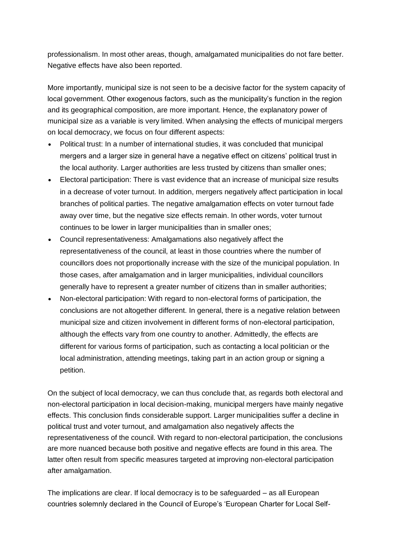professionalism. In most other areas, though, amalgamated municipalities do not fare better. Negative effects have also been reported.

More importantly, municipal size is not seen to be a decisive factor for the system capacity of local government. Other exogenous factors, such as the municipality's function in the region and its geographical composition, are more important. Hence, the explanatory power of municipal size as a variable is very limited. When analysing the effects of municipal mergers on local democracy, we focus on four different aspects:

- Political trust: In a number of international studies, it was concluded that municipal mergers and a larger size in general have a negative effect on citizens' political trust in the local authority. Larger authorities are less trusted by citizens than smaller ones;
- Electoral participation: There is vast evidence that an increase of municipal size results in a decrease of voter turnout. In addition, mergers negatively affect participation in local branches of political parties. The negative amalgamation effects on voter turnout fade away over time, but the negative size effects remain. In other words, voter turnout continues to be lower in larger municipalities than in smaller ones;
- Council representativeness: Amalgamations also negatively affect the representativeness of the council, at least in those countries where the number of councillors does not proportionally increase with the size of the municipal population. In those cases, after amalgamation and in larger municipalities, individual councillors generally have to represent a greater number of citizens than in smaller authorities;
- Non-electoral participation: With regard to non-electoral forms of participation, the conclusions are not altogether different. In general, there is a negative relation between municipal size and citizen involvement in different forms of non-electoral participation, although the effects vary from one country to another. Admittedly, the effects are different for various forms of participation, such as contacting a local politician or the local administration, attending meetings, taking part in an action group or signing a petition.

On the subject of local democracy, we can thus conclude that, as regards both electoral and non-electoral participation in local decision-making, municipal mergers have mainly negative effects. This conclusion finds considerable support. Larger municipalities suffer a decline in political trust and voter turnout, and amalgamation also negatively affects the representativeness of the council. With regard to non-electoral participation, the conclusions are more nuanced because both positive and negative effects are found in this area. The latter often result from specific measures targeted at improving non-electoral participation after amalgamation.

The implications are clear. If local democracy is to be safeguarded – as all European countries solemnly declared in the Council of Europe's 'European Charter for Local Self